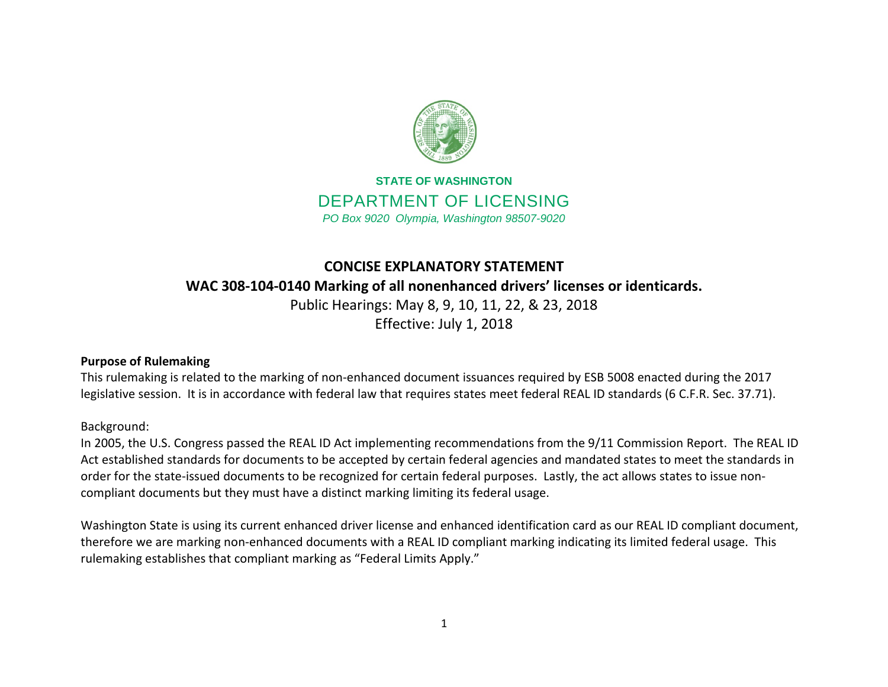

## **STATE OF WASHINGTON** DEPARTMENT OF LICENSING *PO Box 9020 Olympia, Washington 98507-9020*

# **CONCISE EXPLANATORY STATEMENT WAC 308-104-0140 Marking of all nonenhanced drivers' licenses or identicards.**

Public Hearings: May 8, 9, 10, 11, 22, & 23, 2018 Effective: July 1, 2018

## **Purpose of Rulemaking**

This rulemaking is related to the marking of non-enhanced document issuances required by ESB 5008 enacted during the 2017 legislative session. It is in accordance with federal law that requires states meet federal REAL ID standards (6 C.F.R. Sec. 37.71).

## Background:

In 2005, the U.S. Congress passed the REAL ID Act implementing recommendations from the 9/11 Commission Report. The REAL ID Act established standards for documents to be accepted by certain federal agencies and mandated states to meet the standards in order for the state-issued documents to be recognized for certain federal purposes. Lastly, the act allows states to issue noncompliant documents but they must have a distinct marking limiting its federal usage.

Washington State is using its current enhanced driver license and enhanced identification card as our REAL ID compliant document, therefore we are marking non-enhanced documents with a REAL ID compliant marking indicating its limited federal usage. This rulemaking establishes that compliant marking as "Federal Limits Apply."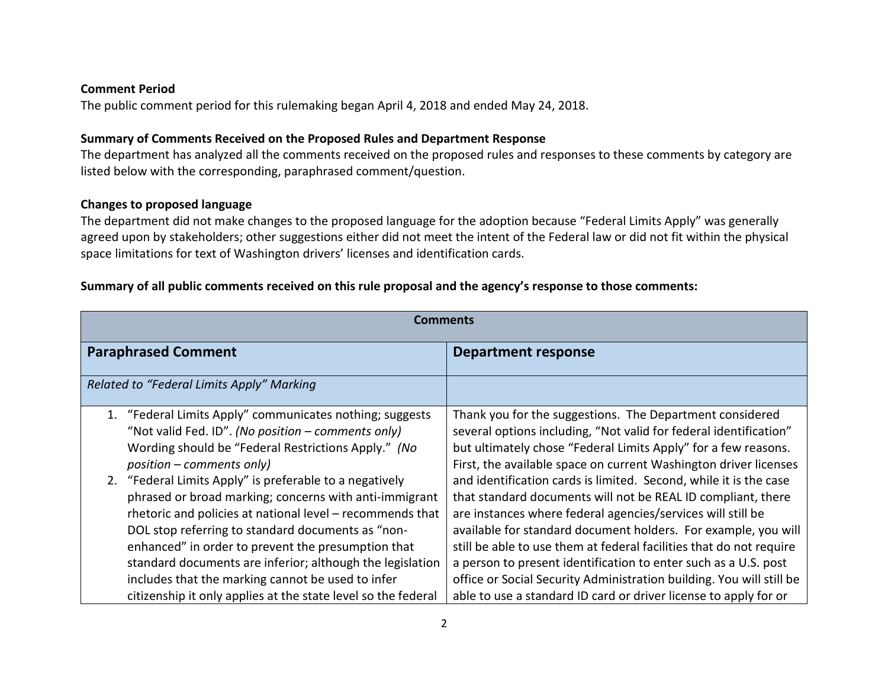#### **Comment Period**

The public comment period for this rulemaking began April 4, 2018 and ended May 24, 2018.

#### **Summary of Comments Received on the Proposed Rules and Department Response**

The department has analyzed all the comments received on the proposed rules and responses to these comments by category are listed below with the corresponding, paraphrased comment/question.

## **Changes to proposed language**

The department did not make changes to the proposed language for the adoption because "Federal Limits Apply" was generally agreed upon by stakeholders; other suggestions either did not meet the intent of the Federal law or did not fit within the physical space limitations for text of Washington drivers' licenses and identification cards.

### **Summary of all public comments received on this rule proposal and the agency's response to those comments:**

| <b>Comments</b>                                                                                                                                                                                                                                                                                                                                                                                                                                                                                                                                                                                                                                                                   |                                                                                                                                                                                                                                                                                                                                                                                                                                                                                                                                                                                                                                                                                                                                                                                                                                 |  |
|-----------------------------------------------------------------------------------------------------------------------------------------------------------------------------------------------------------------------------------------------------------------------------------------------------------------------------------------------------------------------------------------------------------------------------------------------------------------------------------------------------------------------------------------------------------------------------------------------------------------------------------------------------------------------------------|---------------------------------------------------------------------------------------------------------------------------------------------------------------------------------------------------------------------------------------------------------------------------------------------------------------------------------------------------------------------------------------------------------------------------------------------------------------------------------------------------------------------------------------------------------------------------------------------------------------------------------------------------------------------------------------------------------------------------------------------------------------------------------------------------------------------------------|--|
| <b>Paraphrased Comment</b>                                                                                                                                                                                                                                                                                                                                                                                                                                                                                                                                                                                                                                                        | <b>Department response</b>                                                                                                                                                                                                                                                                                                                                                                                                                                                                                                                                                                                                                                                                                                                                                                                                      |  |
| Related to "Federal Limits Apply" Marking                                                                                                                                                                                                                                                                                                                                                                                                                                                                                                                                                                                                                                         |                                                                                                                                                                                                                                                                                                                                                                                                                                                                                                                                                                                                                                                                                                                                                                                                                                 |  |
| "Federal Limits Apply" communicates nothing; suggests<br>"Not valid Fed. ID". (No position - comments only)<br>Wording should be "Federal Restrictions Apply." (No<br>$position$ – comments only)<br>2. "Federal Limits Apply" is preferable to a negatively<br>phrased or broad marking; concerns with anti-immigrant<br>rhetoric and policies at national level - recommends that<br>DOL stop referring to standard documents as "non-<br>enhanced" in order to prevent the presumption that<br>standard documents are inferior; although the legislation<br>includes that the marking cannot be used to infer<br>citizenship it only applies at the state level so the federal | Thank you for the suggestions. The Department considered<br>several options including, "Not valid for federal identification"<br>but ultimately chose "Federal Limits Apply" for a few reasons.<br>First, the available space on current Washington driver licenses<br>and identification cards is limited. Second, while it is the case<br>that standard documents will not be REAL ID compliant, there<br>are instances where federal agencies/services will still be<br>available for standard document holders. For example, you will<br>still be able to use them at federal facilities that do not require<br>a person to present identification to enter such as a U.S. post<br>office or Social Security Administration building. You will still be<br>able to use a standard ID card or driver license to apply for or |  |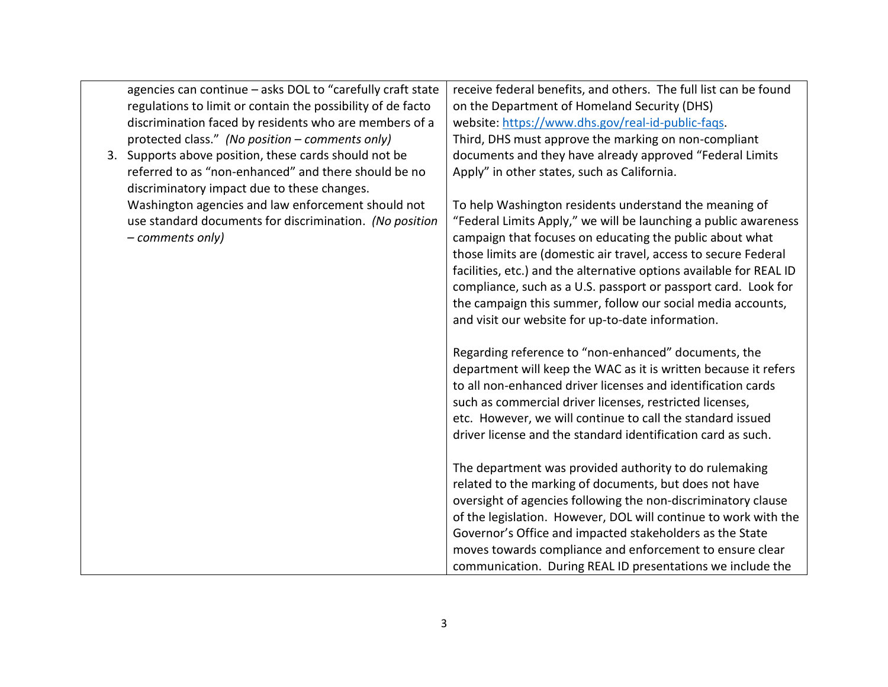| agencies can continue - asks DOL to "carefully craft state  | receive federal benefits, and others. The full list can be found    |
|-------------------------------------------------------------|---------------------------------------------------------------------|
| regulations to limit or contain the possibility of de facto | on the Department of Homeland Security (DHS)                        |
| discrimination faced by residents who are members of a      | website: https://www.dhs.gov/real-id-public-faqs.                   |
| protected class." (No position - comments only)             | Third, DHS must approve the marking on non-compliant                |
| 3. Supports above position, these cards should not be       | documents and they have already approved "Federal Limits            |
| referred to as "non-enhanced" and there should be no        | Apply" in other states, such as California.                         |
| discriminatory impact due to these changes.                 |                                                                     |
| Washington agencies and law enforcement should not          | To help Washington residents understand the meaning of              |
| use standard documents for discrimination. (No position     | "Federal Limits Apply," we will be launching a public awareness     |
| - comments only)                                            | campaign that focuses on educating the public about what            |
|                                                             | those limits are (domestic air travel, access to secure Federal     |
|                                                             | facilities, etc.) and the alternative options available for REAL ID |
|                                                             | compliance, such as a U.S. passport or passport card. Look for      |
|                                                             | the campaign this summer, follow our social media accounts,         |
|                                                             | and visit our website for up-to-date information.                   |
|                                                             |                                                                     |
|                                                             | Regarding reference to "non-enhanced" documents, the                |
|                                                             | department will keep the WAC as it is written because it refers     |
|                                                             | to all non-enhanced driver licenses and identification cards        |
|                                                             | such as commercial driver licenses, restricted licenses,            |
|                                                             | etc. However, we will continue to call the standard issued          |
|                                                             | driver license and the standard identification card as such.        |
|                                                             |                                                                     |
|                                                             | The department was provided authority to do rulemaking              |
|                                                             | related to the marking of documents, but does not have              |
|                                                             | oversight of agencies following the non-discriminatory clause       |
|                                                             | of the legislation. However, DOL will continue to work with the     |
|                                                             | Governor's Office and impacted stakeholders as the State            |
|                                                             | moves towards compliance and enforcement to ensure clear            |
|                                                             | communication. During REAL ID presentations we include the          |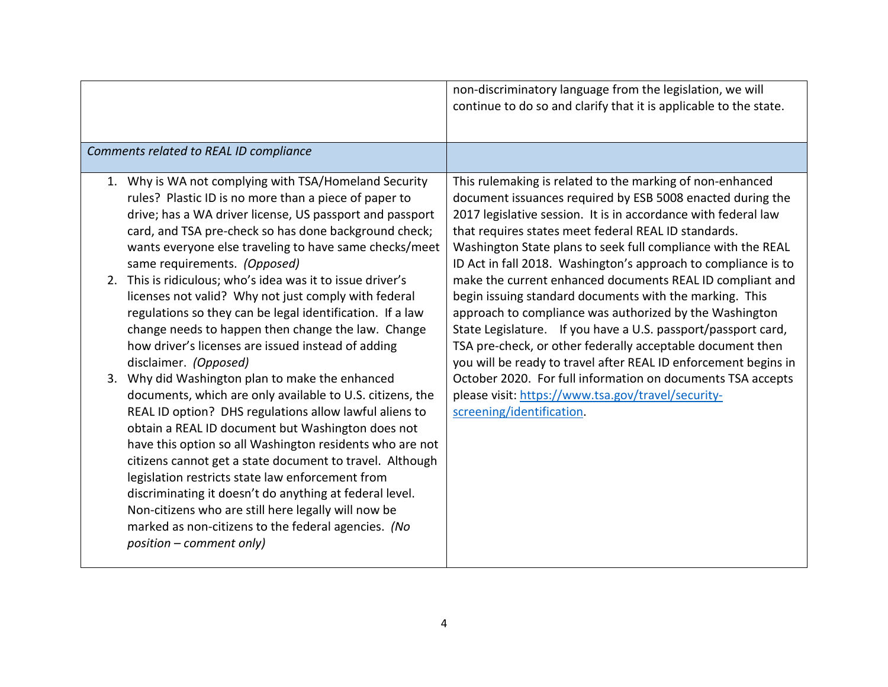|                                                                                                                                                                                                                                                                                                                                                                                                                                                                                                                                                                                                                | non-discriminatory language from the legislation, we will<br>continue to do so and clarify that it is applicable to the state.                                                                                                                                                                                                                                                                                                                   |
|----------------------------------------------------------------------------------------------------------------------------------------------------------------------------------------------------------------------------------------------------------------------------------------------------------------------------------------------------------------------------------------------------------------------------------------------------------------------------------------------------------------------------------------------------------------------------------------------------------------|--------------------------------------------------------------------------------------------------------------------------------------------------------------------------------------------------------------------------------------------------------------------------------------------------------------------------------------------------------------------------------------------------------------------------------------------------|
| Comments related to REAL ID compliance                                                                                                                                                                                                                                                                                                                                                                                                                                                                                                                                                                         |                                                                                                                                                                                                                                                                                                                                                                                                                                                  |
| 1. Why is WA not complying with TSA/Homeland Security<br>rules? Plastic ID is no more than a piece of paper to<br>drive; has a WA driver license, US passport and passport<br>card, and TSA pre-check so has done background check;<br>wants everyone else traveling to have same checks/meet<br>same requirements. (Opposed)<br>2. This is ridiculous; who's idea was it to issue driver's                                                                                                                                                                                                                    | This rulemaking is related to the marking of non-enhanced<br>document issuances required by ESB 5008 enacted during the<br>2017 legislative session. It is in accordance with federal law<br>that requires states meet federal REAL ID standards.<br>Washington State plans to seek full compliance with the REAL<br>ID Act in fall 2018. Washington's approach to compliance is to<br>make the current enhanced documents REAL ID compliant and |
| licenses not valid? Why not just comply with federal<br>regulations so they can be legal identification. If a law<br>change needs to happen then change the law. Change<br>how driver's licenses are issued instead of adding<br>disclaimer. (Opposed)                                                                                                                                                                                                                                                                                                                                                         | begin issuing standard documents with the marking. This<br>approach to compliance was authorized by the Washington<br>State Legislature. If you have a U.S. passport/passport card,<br>TSA pre-check, or other federally acceptable document then<br>you will be ready to travel after REAL ID enforcement begins in                                                                                                                             |
| 3. Why did Washington plan to make the enhanced<br>documents, which are only available to U.S. citizens, the<br>REAL ID option? DHS regulations allow lawful aliens to<br>obtain a REAL ID document but Washington does not<br>have this option so all Washington residents who are not<br>citizens cannot get a state document to travel. Although<br>legislation restricts state law enforcement from<br>discriminating it doesn't do anything at federal level.<br>Non-citizens who are still here legally will now be<br>marked as non-citizens to the federal agencies. (No<br>$position$ – comment only) | October 2020. For full information on documents TSA accepts<br>please visit: https://www.tsa.gov/travel/security-<br>screening/identification.                                                                                                                                                                                                                                                                                                   |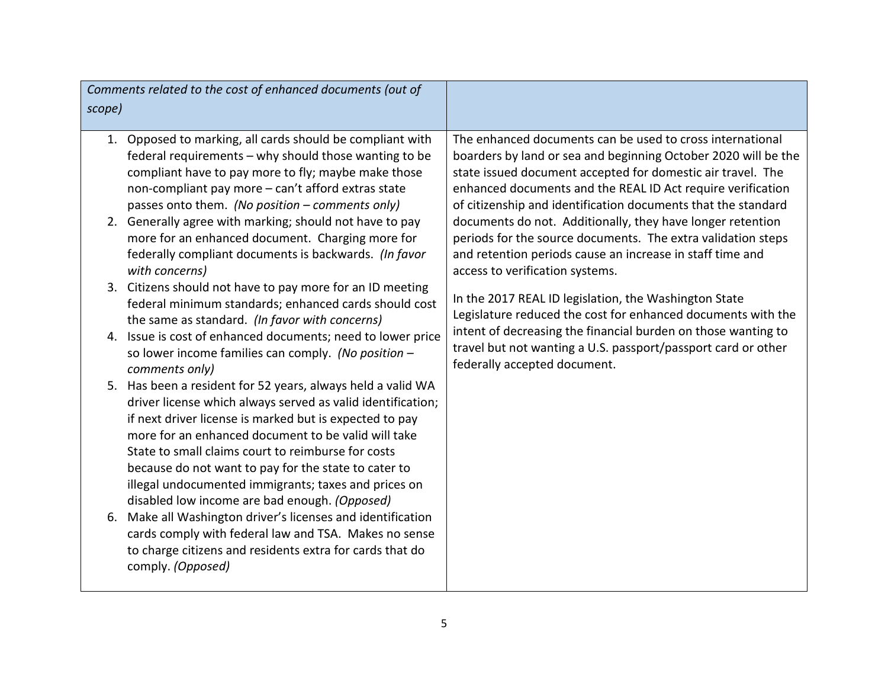|        | Comments related to the cost of enhanced documents (out of                                                                                                                                                                                                                                                                                                                                                         |                                                                                                                                                                                                                            |
|--------|--------------------------------------------------------------------------------------------------------------------------------------------------------------------------------------------------------------------------------------------------------------------------------------------------------------------------------------------------------------------------------------------------------------------|----------------------------------------------------------------------------------------------------------------------------------------------------------------------------------------------------------------------------|
| scope) |                                                                                                                                                                                                                                                                                                                                                                                                                    |                                                                                                                                                                                                                            |
|        | 1. Opposed to marking, all cards should be compliant with<br>federal requirements - why should those wanting to be                                                                                                                                                                                                                                                                                                 | The enhanced documents can be used to cross international<br>boarders by land or sea and beginning October 2020 will be the                                                                                                |
|        | compliant have to pay more to fly; maybe make those<br>non-compliant pay more - can't afford extras state<br>passes onto them. (No position – comments only)                                                                                                                                                                                                                                                       | state issued document accepted for domestic air travel. The<br>enhanced documents and the REAL ID Act require verification<br>of citizenship and identification documents that the standard                                |
|        | 2. Generally agree with marking; should not have to pay<br>more for an enhanced document. Charging more for<br>federally compliant documents is backwards. (In favor<br>with concerns)                                                                                                                                                                                                                             | documents do not. Additionally, they have longer retention<br>periods for the source documents. The extra validation steps<br>and retention periods cause an increase in staff time and<br>access to verification systems. |
|        | 3. Citizens should not have to pay more for an ID meeting<br>federal minimum standards; enhanced cards should cost<br>the same as standard. (In favor with concerns)                                                                                                                                                                                                                                               | In the 2017 REAL ID legislation, the Washington State<br>Legislature reduced the cost for enhanced documents with the                                                                                                      |
|        | 4. Issue is cost of enhanced documents; need to lower price<br>so lower income families can comply. (No position -<br>comments only)                                                                                                                                                                                                                                                                               | intent of decreasing the financial burden on those wanting to<br>travel but not wanting a U.S. passport/passport card or other<br>federally accepted document.                                                             |
|        | 5. Has been a resident for 52 years, always held a valid WA<br>driver license which always served as valid identification;<br>if next driver license is marked but is expected to pay<br>more for an enhanced document to be valid will take<br>State to small claims court to reimburse for costs<br>because do not want to pay for the state to cater to<br>illegal undocumented immigrants; taxes and prices on |                                                                                                                                                                                                                            |
|        | disabled low income are bad enough. (Opposed)<br>6. Make all Washington driver's licenses and identification<br>cards comply with federal law and TSA. Makes no sense<br>to charge citizens and residents extra for cards that do<br>comply. (Opposed)                                                                                                                                                             |                                                                                                                                                                                                                            |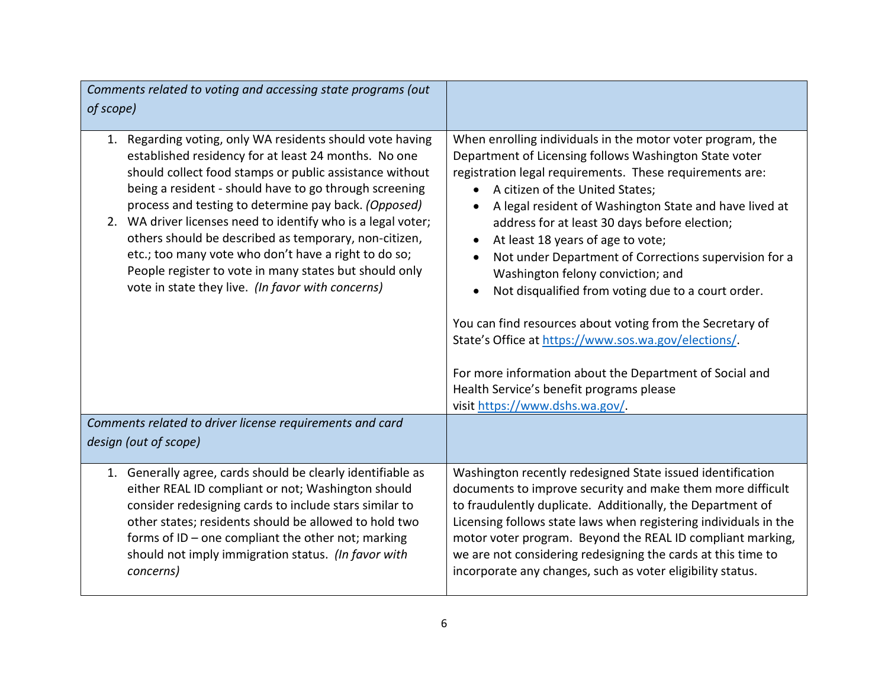| Comments related to voting and accessing state programs (out<br>of scope)                                                                                                                                                                                                                                                                                                                                                                                                                                                                                                                         |                                                                                                                                                                                                                                                                                                                                                                                                                                                                                                                                                                                                                                                                                                                                                                                                                                                         |
|---------------------------------------------------------------------------------------------------------------------------------------------------------------------------------------------------------------------------------------------------------------------------------------------------------------------------------------------------------------------------------------------------------------------------------------------------------------------------------------------------------------------------------------------------------------------------------------------------|---------------------------------------------------------------------------------------------------------------------------------------------------------------------------------------------------------------------------------------------------------------------------------------------------------------------------------------------------------------------------------------------------------------------------------------------------------------------------------------------------------------------------------------------------------------------------------------------------------------------------------------------------------------------------------------------------------------------------------------------------------------------------------------------------------------------------------------------------------|
| Regarding voting, only WA residents should vote having<br>1.<br>established residency for at least 24 months. No one<br>should collect food stamps or public assistance without<br>being a resident - should have to go through screening<br>process and testing to determine pay back. (Opposed)<br>2. WA driver licenses need to identify who is a legal voter;<br>others should be described as temporary, non-citizen,<br>etc.; too many vote who don't have a right to do so;<br>People register to vote in many states but should only<br>vote in state they live. (In favor with concerns) | When enrolling individuals in the motor voter program, the<br>Department of Licensing follows Washington State voter<br>registration legal requirements. These requirements are:<br>A citizen of the United States;<br>$\bullet$<br>A legal resident of Washington State and have lived at<br>$\bullet$<br>address for at least 30 days before election;<br>At least 18 years of age to vote;<br>$\bullet$<br>Not under Department of Corrections supervision for a<br>$\bullet$<br>Washington felony conviction; and<br>Not disqualified from voting due to a court order.<br>$\bullet$<br>You can find resources about voting from the Secretary of<br>State's Office at https://www.sos.wa.gov/elections/.<br>For more information about the Department of Social and<br>Health Service's benefit programs please<br>visit https://www.dshs.wa.gov/. |
| Comments related to driver license requirements and card<br>design (out of scope)                                                                                                                                                                                                                                                                                                                                                                                                                                                                                                                 |                                                                                                                                                                                                                                                                                                                                                                                                                                                                                                                                                                                                                                                                                                                                                                                                                                                         |
| 1. Generally agree, cards should be clearly identifiable as<br>either REAL ID compliant or not; Washington should<br>consider redesigning cards to include stars similar to<br>other states; residents should be allowed to hold two<br>forms of ID - one compliant the other not; marking<br>should not imply immigration status. (In favor with<br>concerns)                                                                                                                                                                                                                                    | Washington recently redesigned State issued identification<br>documents to improve security and make them more difficult<br>to fraudulently duplicate. Additionally, the Department of<br>Licensing follows state laws when registering individuals in the<br>motor voter program. Beyond the REAL ID compliant marking,<br>we are not considering redesigning the cards at this time to<br>incorporate any changes, such as voter eligibility status.                                                                                                                                                                                                                                                                                                                                                                                                  |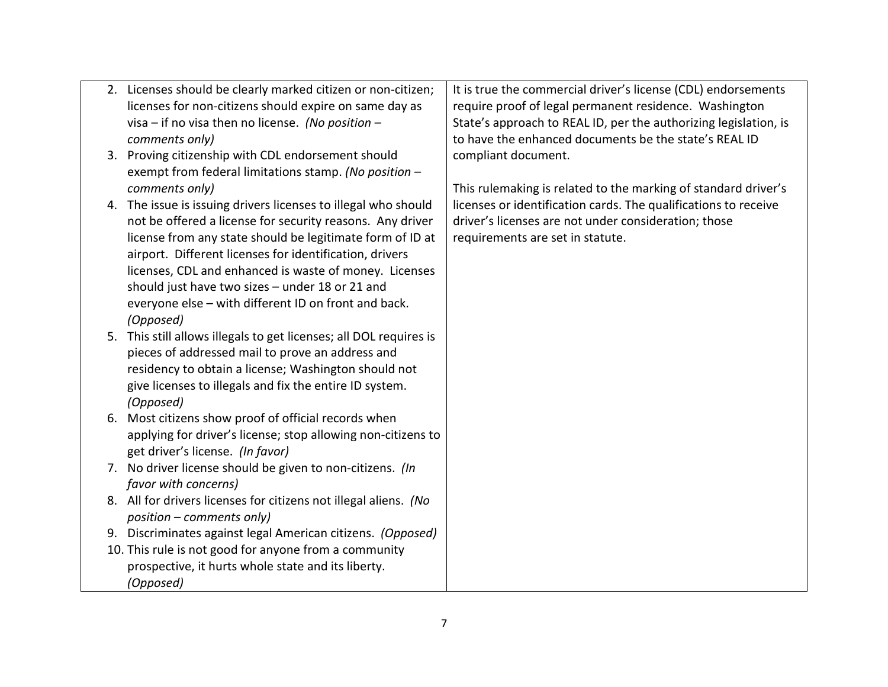| require proof of legal permanent residence. Washington<br>State's approach to REAL ID, per the authorizing legislation, is<br>to have the enhanced documents be the state's REAL ID |
|-------------------------------------------------------------------------------------------------------------------------------------------------------------------------------------|
|                                                                                                                                                                                     |
|                                                                                                                                                                                     |
|                                                                                                                                                                                     |
|                                                                                                                                                                                     |
|                                                                                                                                                                                     |
| This rulemaking is related to the marking of standard driver's                                                                                                                      |
| licenses or identification cards. The qualifications to receive                                                                                                                     |
| driver's licenses are not under consideration; those                                                                                                                                |
|                                                                                                                                                                                     |
|                                                                                                                                                                                     |
|                                                                                                                                                                                     |
|                                                                                                                                                                                     |
|                                                                                                                                                                                     |
|                                                                                                                                                                                     |
|                                                                                                                                                                                     |
|                                                                                                                                                                                     |
|                                                                                                                                                                                     |
|                                                                                                                                                                                     |
|                                                                                                                                                                                     |
|                                                                                                                                                                                     |
|                                                                                                                                                                                     |
|                                                                                                                                                                                     |
|                                                                                                                                                                                     |
|                                                                                                                                                                                     |
|                                                                                                                                                                                     |
|                                                                                                                                                                                     |
|                                                                                                                                                                                     |
|                                                                                                                                                                                     |
|                                                                                                                                                                                     |
|                                                                                                                                                                                     |
|                                                                                                                                                                                     |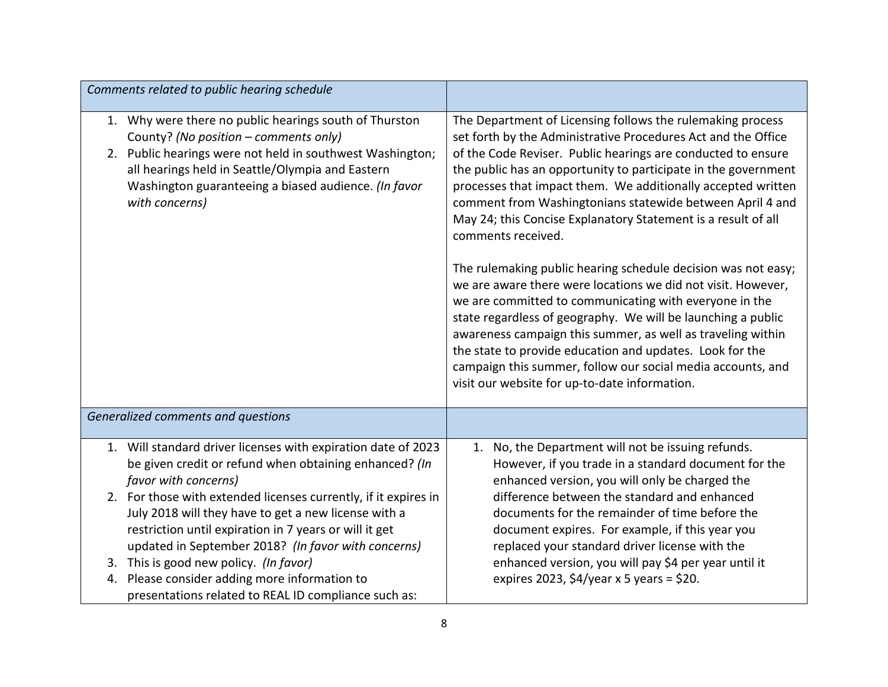| Comments related to public hearing schedule                                                                                                                                                                                                                                                |                                                                                                                                                                                                                                                                                                                                                                                                                                                                                                                                                                                                                                                                                                                                                                                                                                                                                                                                                                                         |
|--------------------------------------------------------------------------------------------------------------------------------------------------------------------------------------------------------------------------------------------------------------------------------------------|-----------------------------------------------------------------------------------------------------------------------------------------------------------------------------------------------------------------------------------------------------------------------------------------------------------------------------------------------------------------------------------------------------------------------------------------------------------------------------------------------------------------------------------------------------------------------------------------------------------------------------------------------------------------------------------------------------------------------------------------------------------------------------------------------------------------------------------------------------------------------------------------------------------------------------------------------------------------------------------------|
| 1. Why were there no public hearings south of Thurston<br>County? (No position - comments only)<br>2. Public hearings were not held in southwest Washington;<br>all hearings held in Seattle/Olympia and Eastern<br>Washington guaranteeing a biased audience. (In favor<br>with concerns) | The Department of Licensing follows the rulemaking process<br>set forth by the Administrative Procedures Act and the Office<br>of the Code Reviser. Public hearings are conducted to ensure<br>the public has an opportunity to participate in the government<br>processes that impact them. We additionally accepted written<br>comment from Washingtonians statewide between April 4 and<br>May 24; this Concise Explanatory Statement is a result of all<br>comments received.<br>The rulemaking public hearing schedule decision was not easy;<br>we are aware there were locations we did not visit. However,<br>we are committed to communicating with everyone in the<br>state regardless of geography. We will be launching a public<br>awareness campaign this summer, as well as traveling within<br>the state to provide education and updates. Look for the<br>campaign this summer, follow our social media accounts, and<br>visit our website for up-to-date information. |
| Generalized comments and questions                                                                                                                                                                                                                                                         |                                                                                                                                                                                                                                                                                                                                                                                                                                                                                                                                                                                                                                                                                                                                                                                                                                                                                                                                                                                         |
| 1. Will standard driver licenses with expiration date of 2023<br>be given credit or refund when obtaining enhanced? (In<br>favor with concerns)                                                                                                                                            | No, the Department will not be issuing refunds.<br>1.<br>However, if you trade in a standard document for the<br>enhanced version, you will only be charged the                                                                                                                                                                                                                                                                                                                                                                                                                                                                                                                                                                                                                                                                                                                                                                                                                         |
| 2. For those with extended licenses currently, if it expires in<br>July 2018 will they have to get a new license with a<br>restriction until expiration in 7 years or will it get<br>updated in September 2018? (In favor with concerns)                                                   | difference between the standard and enhanced<br>documents for the remainder of time before the<br>document expires. For example, if this year you<br>replaced your standard driver license with the                                                                                                                                                                                                                                                                                                                                                                                                                                                                                                                                                                                                                                                                                                                                                                                     |
| 3. This is good new policy. (In favor)<br>4. Please consider adding more information to<br>presentations related to REAL ID compliance such as:                                                                                                                                            | enhanced version, you will pay \$4 per year until it<br>expires 2023, \$4/year x 5 years = \$20.                                                                                                                                                                                                                                                                                                                                                                                                                                                                                                                                                                                                                                                                                                                                                                                                                                                                                        |